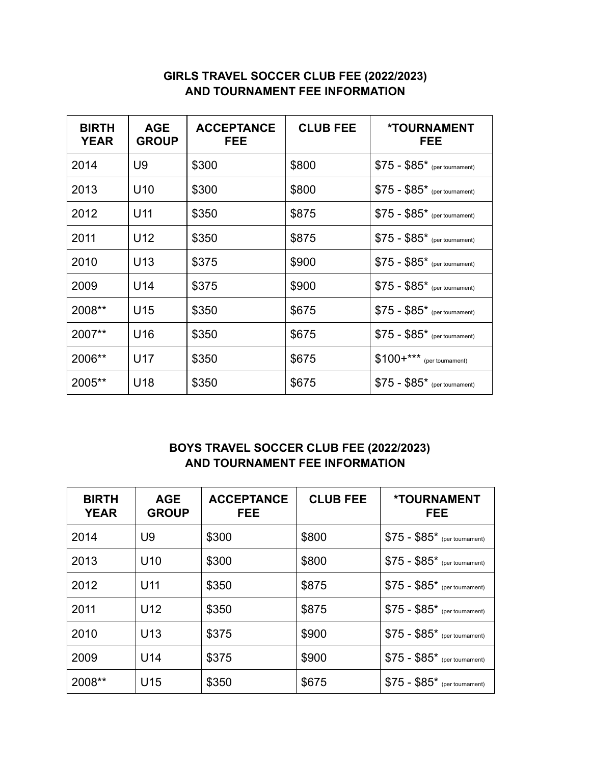## **GIRLS TRAVEL SOCCER CLUB FEE (2022/2023) AND TOURNAMENT FEE INFORMATION**

| <b>BIRTH</b><br><b>YEAR</b> | <b>AGE</b><br><b>GROUP</b> | <b>ACCEPTANCE</b><br><b>FEE</b> | <b>CLUB FEE</b> | <b>*TOURNAMENT</b><br>FEE     |
|-----------------------------|----------------------------|---------------------------------|-----------------|-------------------------------|
| 2014                        | U9                         | \$300                           | \$800           | $$75 - $85*$ (per tournament) |
| 2013                        | U <sub>10</sub>            | \$300                           | \$800           | $$75 - $85*$ (per tournament) |
| 2012                        | U11                        | \$350                           | \$875           | $$75 - $85*$ (per tournament) |
| 2011                        | U12                        | \$350                           | \$875           | $$75 - $85*$ (per tournament) |
| 2010                        | U <sub>13</sub>            | \$375                           | \$900           | $$75 - $85*$ (per tournament) |
| 2009                        | U14                        | \$375                           | \$900           | $$75 - $85*$ (per tournament) |
| 2008**                      | U <sub>15</sub>            | \$350                           | \$675           | $$75 - $85*$ (per tournament) |
| 2007**                      | U <sub>16</sub>            | \$350                           | \$675           | $$75 - $85*$ (per tournament) |
| 2006**                      | U17                        | \$350                           | \$675           | $$100+***$ (per tournament)   |
| 2005**                      | U18                        | \$350                           | \$675           | $$75 - $85*$ (per tournament) |

## **BOYS TRAVEL SOCCER CLUB FEE (2022/2023) AND TOURNAMENT FEE INFORMATION**

| <b>BIRTH</b><br><b>YEAR</b> | <b>AGE</b><br><b>GROUP</b> | <b>ACCEPTANCE</b><br><b>FEE</b> | <b>CLUB FEE</b> | <b>*TOURNAMENT</b><br>FEE.    |
|-----------------------------|----------------------------|---------------------------------|-----------------|-------------------------------|
| 2014                        | U9                         | \$300                           | \$800           | $$75 - $85*$ (per tournament) |
| 2013                        | U <sub>10</sub>            | \$300                           | \$800           | $$75 - $85*$ (per tournament) |
| 2012                        | U <sub>11</sub>            | \$350                           | \$875           | $$75 - $85*$ (per tournament) |
| 2011                        | U <sub>12</sub>            | \$350                           | \$875           | $$75 - $85*$ (per tournament) |
| 2010                        | U <sub>13</sub>            | \$375                           | \$900           | $$75 - $85*$ (per tournament) |
| 2009                        | U <sub>14</sub>            | \$375                           | \$900           | $$75 - $85*$ (per tournament) |
| 2008**                      | U <sub>15</sub>            | \$350                           | \$675           | $$75 - $85*$ (per tournament) |